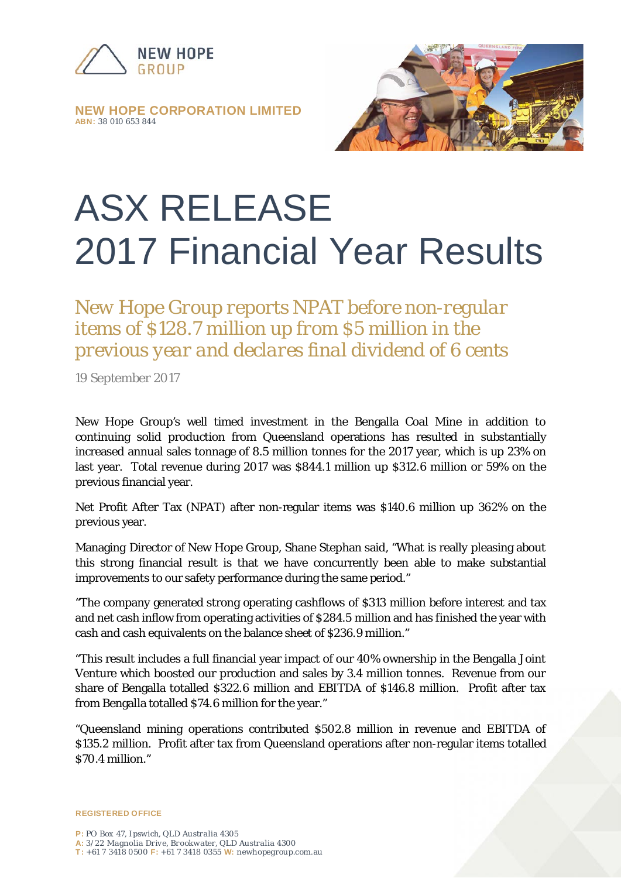

**NEW HOPE CORPORATION LIMITED ABN:** *38 010 653 844*



## ASX RELEASE 2017 Financial Year Results

*New Hope Group reports NPAT before non-regular items of \$128.7 million up from \$5 million in the previous year and declares final dividend of 6 cents*

19 September 2017

New Hope Group's well timed investment in the Bengalla Coal Mine in addition to continuing solid production from Queensland operations has resulted in substantially increased annual sales tonnage of 8.5 million tonnes for the 2017 year, which is up 23% on last year. Total revenue during 2017 was \$844.1 million up \$312.6 million or 59% on the previous financial year.

Net Profit After Tax (NPAT) after non-regular items was \$140.6 million up 362% on the previous year.

Managing Director of New Hope Group, Shane Stephan said, "What is really pleasing about this strong financial result is that we have concurrently been able to make substantial improvements to our safety performance during the same period."

"The company generated strong operating cashflows of \$313 million before interest and tax and net cash inflow from operating activities of \$284.5 million and has finished the year with cash and cash equivalents on the balance sheet of \$236.9 million."

"This result includes a full financial year impact of our 40% ownership in the Bengalla Joint Venture which boosted our production and sales by 3.4 million tonnes. Revenue from our share of Bengalla totalled \$322.6 million and EBITDA of \$146.8 million. Profit after tax from Bengalla totalled \$74.6 million for the year."

"Queensland mining operations contributed \$502.8 million in revenue and EBITDA of \$135.2 million. Profit after tax from Queensland operations after non-regular items totalled \$70.4 million."

**REGISTERED OFFICE**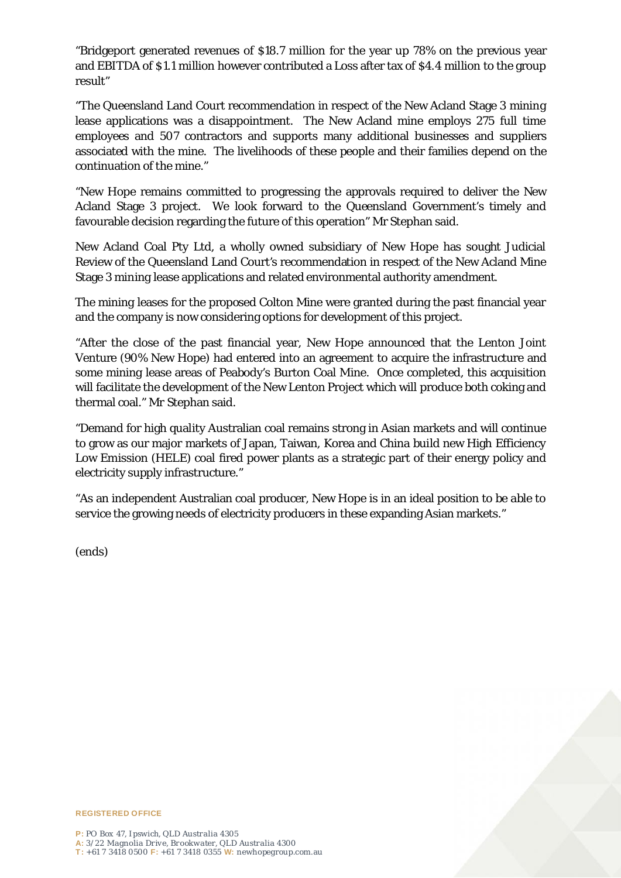"Bridgeport generated revenues of \$18.7 million for the year up 78% on the previous year and EBITDA of \$1.1 million however contributed a Loss after tax of \$4.4 million to the group result"

"The Queensland Land Court recommendation in respect of the New Acland Stage 3 mining lease applications was a disappointment. The New Acland mine employs 275 full time employees and 507 contractors and supports many additional businesses and suppliers associated with the mine. The livelihoods of these people and their families depend on the continuation of the mine."

"New Hope remains committed to progressing the approvals required to deliver the New Acland Stage 3 project. We look forward to the Queensland Government's timely and favourable decision regarding the future of this operation" Mr Stephan said.

New Acland Coal Pty Ltd, a wholly owned subsidiary of New Hope has sought Judicial Review of the Queensland Land Court's recommendation in respect of the New Acland Mine Stage 3 mining lease applications and related environmental authority amendment.

The mining leases for the proposed Colton Mine were granted during the past financial year and the company is now considering options for development of this project.

"After the close of the past financial year, New Hope announced that the Lenton Joint Venture (90% New Hope) had entered into an agreement to acquire the infrastructure and some mining lease areas of Peabody's Burton Coal Mine. Once completed, this acquisition will facilitate the development of the New Lenton Project which will produce both coking and thermal coal." Mr Stephan said.

"Demand for high quality Australian coal remains strong in Asian markets and will continue to grow as our major markets of Japan, Taiwan, Korea and China build new High Efficiency Low Emission (HELE) coal fired power plants as a strategic part of their energy policy and electricity supply infrastructure."

"As an independent Australian coal producer, New Hope is in an ideal position to be able to service the growing needs of electricity producers in these expanding Asian markets."

(ends)



**REGISTERED OFFICE**